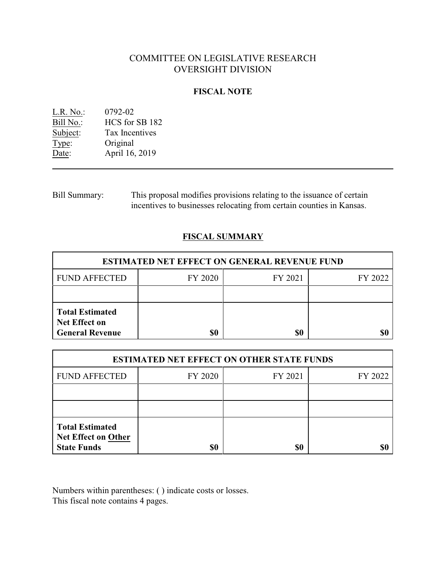# COMMITTEE ON LEGISLATIVE RESEARCH OVERSIGHT DIVISION

### **FISCAL NOTE**

| $L.R. No.$ : | 0792-02               |
|--------------|-----------------------|
| Bill No.:    | HCS for SB 182        |
| Subject:     | <b>Tax Incentives</b> |
| Type:        | Original              |
| Date:        | April 16, 2019        |

Bill Summary: This proposal modifies provisions relating to the issuance of certain incentives to businesses relocating from certain counties in Kansas.

## **FISCAL SUMMARY**

| <b>ESTIMATED NET EFFECT ON GENERAL REVENUE FUND</b>                      |         |         |         |  |
|--------------------------------------------------------------------------|---------|---------|---------|--|
| <b>FUND AFFECTED</b>                                                     | FY 2020 | FY 2021 | FY 2022 |  |
|                                                                          |         |         |         |  |
| <b>Total Estimated</b><br><b>Net Effect on</b><br><b>General Revenue</b> | \$0     | \$0     |         |  |

| <b>ESTIMATED NET EFFECT ON OTHER STATE FUNDS</b>                           |         |         |         |  |
|----------------------------------------------------------------------------|---------|---------|---------|--|
| <b>FUND AFFECTED</b>                                                       | FY 2020 | FY 2021 | FY 2022 |  |
|                                                                            |         |         |         |  |
|                                                                            |         |         |         |  |
| <b>Total Estimated</b><br><b>Net Effect on Other</b><br><b>State Funds</b> | \$0     | \$0     |         |  |

Numbers within parentheses: ( ) indicate costs or losses. This fiscal note contains 4 pages.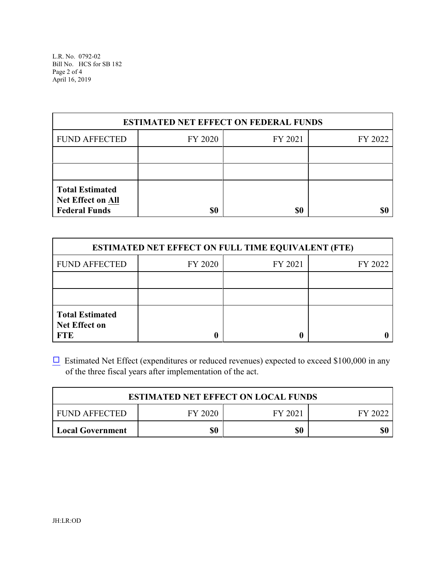L.R. No. 0792-02 Bill No. HCS for SB 182 Page 2 of 4 April 16, 2019

| <b>ESTIMATED NET EFFECT ON FEDERAL FUNDS</b>                               |         |         |         |  |
|----------------------------------------------------------------------------|---------|---------|---------|--|
| <b>FUND AFFECTED</b>                                                       | FY 2020 | FY 2021 | FY 2022 |  |
|                                                                            |         |         |         |  |
|                                                                            |         |         |         |  |
| <b>Total Estimated</b><br><b>Net Effect on All</b><br><b>Federal Funds</b> | \$0     | \$0     |         |  |

| <b>ESTIMATED NET EFFECT ON FULL TIME EQUIVALENT (FTE)</b>    |         |         |         |  |
|--------------------------------------------------------------|---------|---------|---------|--|
| <b>FUND AFFECTED</b>                                         | FY 2020 | FY 2021 | FY 2022 |  |
|                                                              |         |         |         |  |
|                                                              |         |         |         |  |
| <b>Total Estimated</b><br><b>Net Effect on</b><br><b>FTE</b> |         |         |         |  |

 $\Box$  Estimated Net Effect (expenditures or reduced revenues) expected to exceed \$100,000 in any of the three fiscal years after implementation of the act.

| <b>ESTIMATED NET EFFECT ON LOCAL FUNDS</b> |                               |  |  |  |  |  |
|--------------------------------------------|-------------------------------|--|--|--|--|--|
| FUND AFFECTED                              | FY 2020<br>FY 2021<br>FY 2022 |  |  |  |  |  |
| \$0<br>\$0<br>Local Government             |                               |  |  |  |  |  |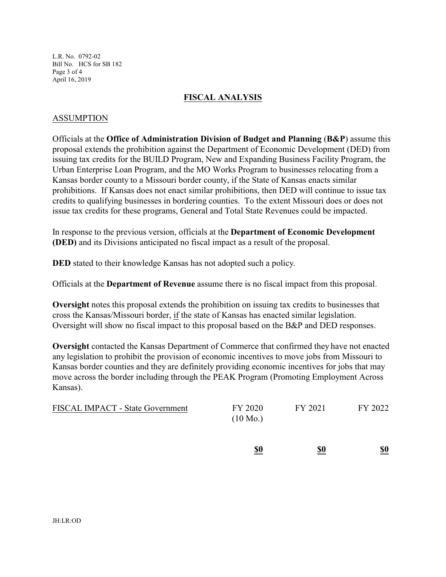L.R. No. 0792-02 Bill No. HCS for SB 182 Page 3 of 4 April 16, 2019

#### **FISCAL ANALYSIS**

#### ASSUMPTION

Officials at the **Office of Administration Division of Budget and Planning** (**B&P**) assume this proposal extends the prohibition against the Department of Economic Development (DED) from issuing tax credits for the BUILD Program, New and Expanding Business Facility Program, the Urban Enterprise Loan Program, and the MO Works Program to businesses relocating from a Kansas border county to a Missouri border county, if the State of Kansas enacts similar prohibitions. If Kansas does not enact similar prohibitions, then DED will continue to issue tax credits to qualifying businesses in bordering counties. To the extent Missouri does or does not issue tax credits for these programs, General and Total State Revenues could be impacted.

In response to the previous version, officials at the **Department of Economic Development (DED)** and its Divisions anticipated no fiscal impact as a result of the proposal.

**DED** stated to their knowledge Kansas has not adopted such a policy.

Officials at the **Department of Revenue** assume there is no fiscal impact from this proposal.

**Oversight** notes this proposal extends the prohibition on issuing tax credits to businesses that cross the Kansas/Missouri border, if the state of Kansas has enacted similar legislation. Oversight will show no fiscal impact to this proposal based on the B&P and DED responses.

**Oversight** contacted the Kansas Department of Commerce that confirmed they have not enacted any legislation to prohibit the provision of economic incentives to move jobs from Missouri to Kansas border counties and they are definitely providing economic incentives for jobs that may move across the border including through the PEAK Program (Promoting Employment Across Kansas).

| <b>FISCAL IMPACT - State Government</b> | FY 2020<br>$(10 \text{ Mo.})$ | FY 2021 | FY 2022 |
|-----------------------------------------|-------------------------------|---------|---------|
|                                         |                               |         |         |

**\$0 \$0 \$0**